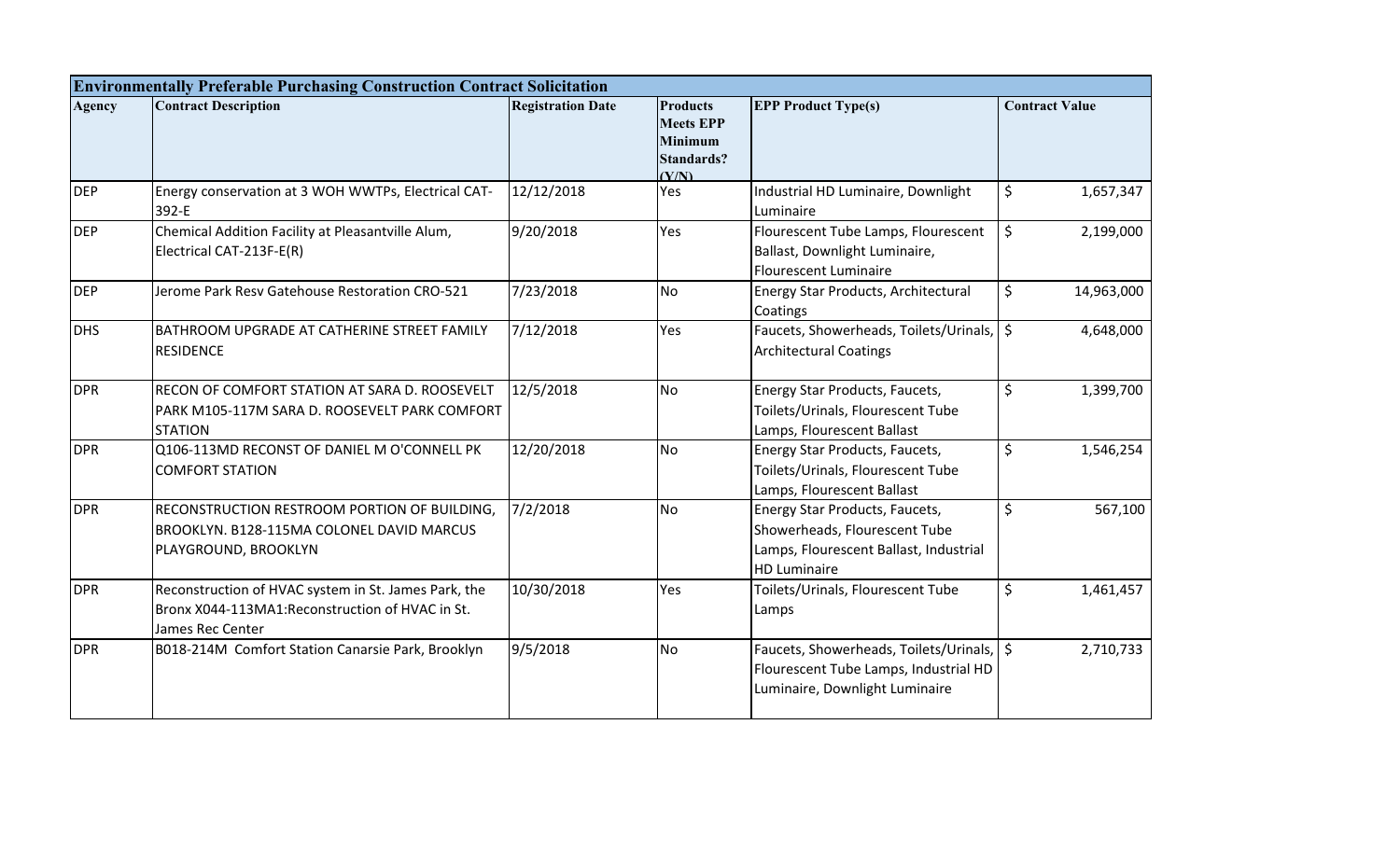|               | <b>Environmentally Preferable Purchasing Construction Contract Solicitation</b>                                              |                          |                                                                                     |                                                                                                                                  |                       |
|---------------|------------------------------------------------------------------------------------------------------------------------------|--------------------------|-------------------------------------------------------------------------------------|----------------------------------------------------------------------------------------------------------------------------------|-----------------------|
| <b>Agency</b> | <b>Contract Description</b>                                                                                                  | <b>Registration Date</b> | <b>Products</b><br><b>Meets EPP</b><br><b>Minimum</b><br><b>Standards?</b><br>(Y/N) | <b>EPP Product Type(s)</b>                                                                                                       | <b>Contract Value</b> |
| <b>DEP</b>    | Energy conservation at 3 WOH WWTPs, Electrical CAT-<br>392-E                                                                 | 12/12/2018               | Yes                                                                                 | Industrial HD Luminaire, Downlight<br>Luminaire                                                                                  | \$<br>1,657,347       |
| <b>DEP</b>    | Chemical Addition Facility at Pleasantville Alum,<br>Electrical CAT-213F-E(R)                                                | 9/20/2018                | Yes                                                                                 | Flourescent Tube Lamps, Flourescent<br>Ballast, Downlight Luminaire,<br>Flourescent Luminaire                                    | \$<br>2,199,000       |
| <b>DEP</b>    | Jerome Park Resv Gatehouse Restoration CRO-521                                                                               | 7/23/2018                | <b>No</b>                                                                           | <b>Energy Star Products, Architectural</b><br>Coatings                                                                           | \$<br>14,963,000      |
| <b>DHS</b>    | BATHROOM UPGRADE AT CATHERINE STREET FAMILY<br><b>RESIDENCE</b>                                                              | 7/12/2018                | Yes                                                                                 | Faucets, Showerheads, Toilets/Urinals, S<br><b>Architectural Coatings</b>                                                        | 4,648,000             |
| <b>DPR</b>    | RECON OF COMFORT STATION AT SARA D. ROOSEVELT<br>PARK M105-117M SARA D. ROOSEVELT PARK COMFORT<br><b>STATION</b>             | 12/5/2018                | <b>No</b>                                                                           | Energy Star Products, Faucets,<br>Toilets/Urinals, Flourescent Tube<br>Lamps, Flourescent Ballast                                | \$<br>1,399,700       |
| <b>DPR</b>    | Q106-113MD RECONST OF DANIEL M O'CONNELL PK<br><b>COMFORT STATION</b>                                                        | 12/20/2018               | <b>No</b>                                                                           | Energy Star Products, Faucets,<br>Toilets/Urinals, Flourescent Tube<br>Lamps, Flourescent Ballast                                | \$<br>1,546,254       |
| <b>DPR</b>    | RECONSTRUCTION RESTROOM PORTION OF BUILDING,<br>BROOKLYN. B128-115MA COLONEL DAVID MARCUS<br>PLAYGROUND, BROOKLYN            | 7/2/2018                 | <b>No</b>                                                                           | Energy Star Products, Faucets,<br>Showerheads, Flourescent Tube<br>Lamps, Flourescent Ballast, Industrial<br><b>HD Luminaire</b> | $\zeta$<br>567,100    |
| <b>DPR</b>    | Reconstruction of HVAC system in St. James Park, the<br>Bronx X044-113MA1: Reconstruction of HVAC in St.<br>James Rec Center | 10/30/2018               | Yes                                                                                 | Toilets/Urinals, Flourescent Tube<br>Lamps                                                                                       | \$<br>1,461,457       |
| <b>DPR</b>    | B018-214M Comfort Station Canarsie Park, Brooklyn                                                                            | 9/5/2018                 | <b>No</b>                                                                           | Faucets, Showerheads, Toilets/Urinals, S<br>Flourescent Tube Lamps, Industrial HD<br>Luminaire, Downlight Luminaire              | 2,710,733             |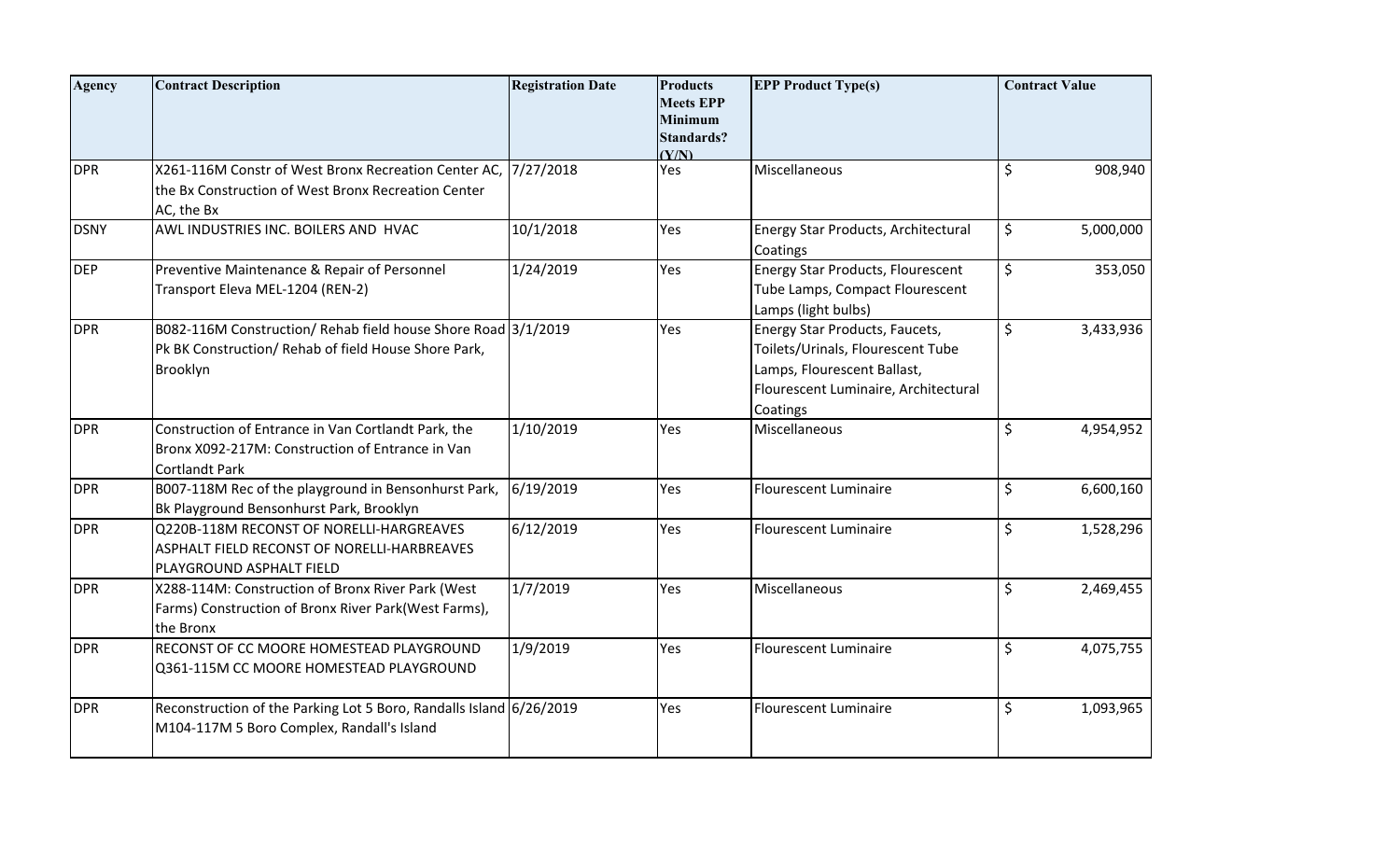| <b>Agency</b> | <b>Contract Description</b>                                                                                                       | <b>Registration Date</b> | <b>Products</b><br><b>Meets EPP</b><br><b>Minimum</b><br><b>Standards?</b><br>(Y/N) | <b>EPP Product Type(s)</b>                                                                                                                             | <b>Contract Value</b> |           |
|---------------|-----------------------------------------------------------------------------------------------------------------------------------|--------------------------|-------------------------------------------------------------------------------------|--------------------------------------------------------------------------------------------------------------------------------------------------------|-----------------------|-----------|
| <b>DPR</b>    | X261-116M Constr of West Bronx Recreation Center AC,<br>the Bx Construction of West Bronx Recreation Center<br>AC, the Bx         | 7/27/2018                | Yes                                                                                 | Miscellaneous                                                                                                                                          | \$                    | 908,940   |
| <b>DSNY</b>   | AWL INDUSTRIES INC. BOILERS AND HVAC                                                                                              | 10/1/2018                | Yes                                                                                 | Energy Star Products, Architectural<br>Coatings                                                                                                        | \$                    | 5,000,000 |
| <b>DEP</b>    | Preventive Maintenance & Repair of Personnel<br>Transport Eleva MEL-1204 (REN-2)                                                  | 1/24/2019                | Yes                                                                                 | Energy Star Products, Flourescent<br>Tube Lamps, Compact Flourescent<br>Lamps (light bulbs)                                                            | \$                    | 353,050   |
| <b>DPR</b>    | B082-116M Construction/ Rehab field house Shore Road 3/1/2019<br>Pk BK Construction/ Rehab of field House Shore Park,<br>Brooklyn |                          | Yes                                                                                 | Energy Star Products, Faucets,<br>Toilets/Urinals, Flourescent Tube<br>Lamps, Flourescent Ballast,<br>Flourescent Luminaire, Architectural<br>Coatings | \$                    | 3,433,936 |
| <b>DPR</b>    | Construction of Entrance in Van Cortlandt Park, the<br>Bronx X092-217M: Construction of Entrance in Van<br><b>Cortlandt Park</b>  | 1/10/2019                | Yes                                                                                 | Miscellaneous                                                                                                                                          | \$                    | 4,954,952 |
| <b>DPR</b>    | B007-118M Rec of the playground in Bensonhurst Park,<br>Bk Playground Bensonhurst Park, Brooklyn                                  | 6/19/2019                | Yes                                                                                 | <b>Flourescent Luminaire</b>                                                                                                                           | \$                    | 6,600,160 |
| <b>DPR</b>    | Q220B-118M RECONST OF NORELLI-HARGREAVES<br>ASPHALT FIELD RECONST OF NORELLI-HARBREAVES<br>PLAYGROUND ASPHALT FIELD               | 6/12/2019                | Yes                                                                                 | <b>Flourescent Luminaire</b>                                                                                                                           | \$                    | 1,528,296 |
| <b>DPR</b>    | X288-114M: Construction of Bronx River Park (West<br>Farms) Construction of Bronx River Park(West Farms),<br>the Bronx            | 1/7/2019                 | Yes                                                                                 | Miscellaneous                                                                                                                                          | \$                    | 2,469,455 |
| <b>DPR</b>    | RECONST OF CC MOORE HOMESTEAD PLAYGROUND<br>Q361-115M CC MOORE HOMESTEAD PLAYGROUND                                               | 1/9/2019                 | Yes                                                                                 | <b>Flourescent Luminaire</b>                                                                                                                           | \$                    | 4,075,755 |
| <b>DPR</b>    | Reconstruction of the Parking Lot 5 Boro, Randalls Island 6/26/2019<br>M104-117M 5 Boro Complex, Randall's Island                 |                          | Yes                                                                                 | <b>Flourescent Luminaire</b>                                                                                                                           | \$                    | 1,093,965 |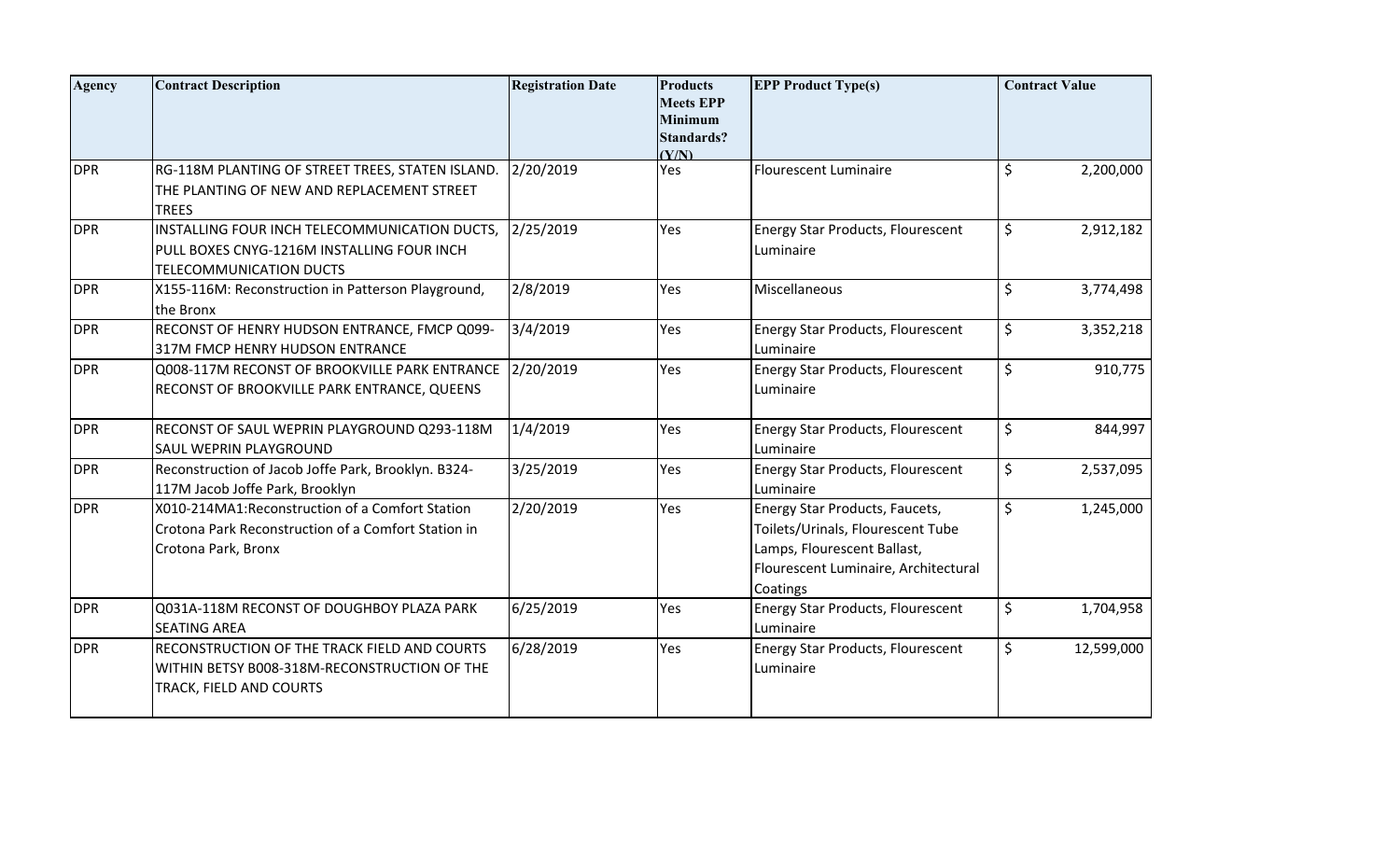| <b>Agency</b> | <b>Contract Description</b>                                                                                                    | <b>Registration Date</b> | <b>Products</b><br><b>Meets EPP</b><br><b>Minimum</b><br><b>Standards?</b><br>(Y/N) | <b>EPP Product Type(s)</b>                                                                                                                             |         | <b>Contract Value</b> |
|---------------|--------------------------------------------------------------------------------------------------------------------------------|--------------------------|-------------------------------------------------------------------------------------|--------------------------------------------------------------------------------------------------------------------------------------------------------|---------|-----------------------|
| <b>DPR</b>    | RG-118M PLANTING OF STREET TREES, STATEN ISLAND.<br>THE PLANTING OF NEW AND REPLACEMENT STREET<br><b>TREES</b>                 | 2/20/2019                | Yes                                                                                 | <b>Flourescent Luminaire</b>                                                                                                                           | \$      | 2,200,000             |
| <b>DPR</b>    | INSTALLING FOUR INCH TELECOMMUNICATION DUCTS,<br>PULL BOXES CNYG-1216M INSTALLING FOUR INCH<br><b>TELECOMMUNICATION DUCTS</b>  | 2/25/2019                | Yes                                                                                 | <b>Energy Star Products, Flourescent</b><br>Luminaire                                                                                                  | \$      | 2,912,182             |
| <b>DPR</b>    | X155-116M: Reconstruction in Patterson Playground,<br>the Bronx                                                                | 2/8/2019                 | Yes                                                                                 | Miscellaneous                                                                                                                                          | $\zeta$ | 3,774,498             |
| <b>DPR</b>    | RECONST OF HENRY HUDSON ENTRANCE, FMCP Q099-<br>317M FMCP HENRY HUDSON ENTRANCE                                                | 3/4/2019                 | Yes                                                                                 | <b>Energy Star Products, Flourescent</b><br>Luminaire                                                                                                  | \$      | 3,352,218             |
| <b>DPR</b>    | Q008-117M RECONST OF BROOKVILLE PARK ENTRANCE<br>RECONST OF BROOKVILLE PARK ENTRANCE, QUEENS                                   | 2/20/2019                | Yes                                                                                 | Energy Star Products, Flourescent<br>Luminaire                                                                                                         | \$      | 910,775               |
| <b>DPR</b>    | RECONST OF SAUL WEPRIN PLAYGROUND Q293-118M<br>SAUL WEPRIN PLAYGROUND                                                          | 1/4/2019                 | Yes                                                                                 | <b>Energy Star Products, Flourescent</b><br>Luminaire                                                                                                  | \$      | 844,997               |
| <b>DPR</b>    | Reconstruction of Jacob Joffe Park, Brooklyn. B324-<br>117M Jacob Joffe Park, Brooklyn                                         | 3/25/2019                | Yes                                                                                 | Energy Star Products, Flourescent<br>Luminaire                                                                                                         | \$      | 2,537,095             |
| <b>DPR</b>    | X010-214MA1: Reconstruction of a Comfort Station<br>Crotona Park Reconstruction of a Comfort Station in<br>Crotona Park, Bronx | 2/20/2019                | Yes                                                                                 | Energy Star Products, Faucets,<br>Toilets/Urinals, Flourescent Tube<br>Lamps, Flourescent Ballast,<br>Flourescent Luminaire, Architectural<br>Coatings | \$      | 1,245,000             |
| <b>DPR</b>    | Q031A-118M RECONST OF DOUGHBOY PLAZA PARK<br><b>SEATING AREA</b>                                                               | 6/25/2019                | Yes                                                                                 | Energy Star Products, Flourescent<br>Luminaire                                                                                                         | \$      | 1,704,958             |
| <b>DPR</b>    | RECONSTRUCTION OF THE TRACK FIELD AND COURTS<br>WITHIN BETSY B008-318M-RECONSTRUCTION OF THE<br>TRACK, FIELD AND COURTS        | 6/28/2019                | Yes                                                                                 | <b>Energy Star Products, Flourescent</b><br>Luminaire                                                                                                  | \$      | 12,599,000            |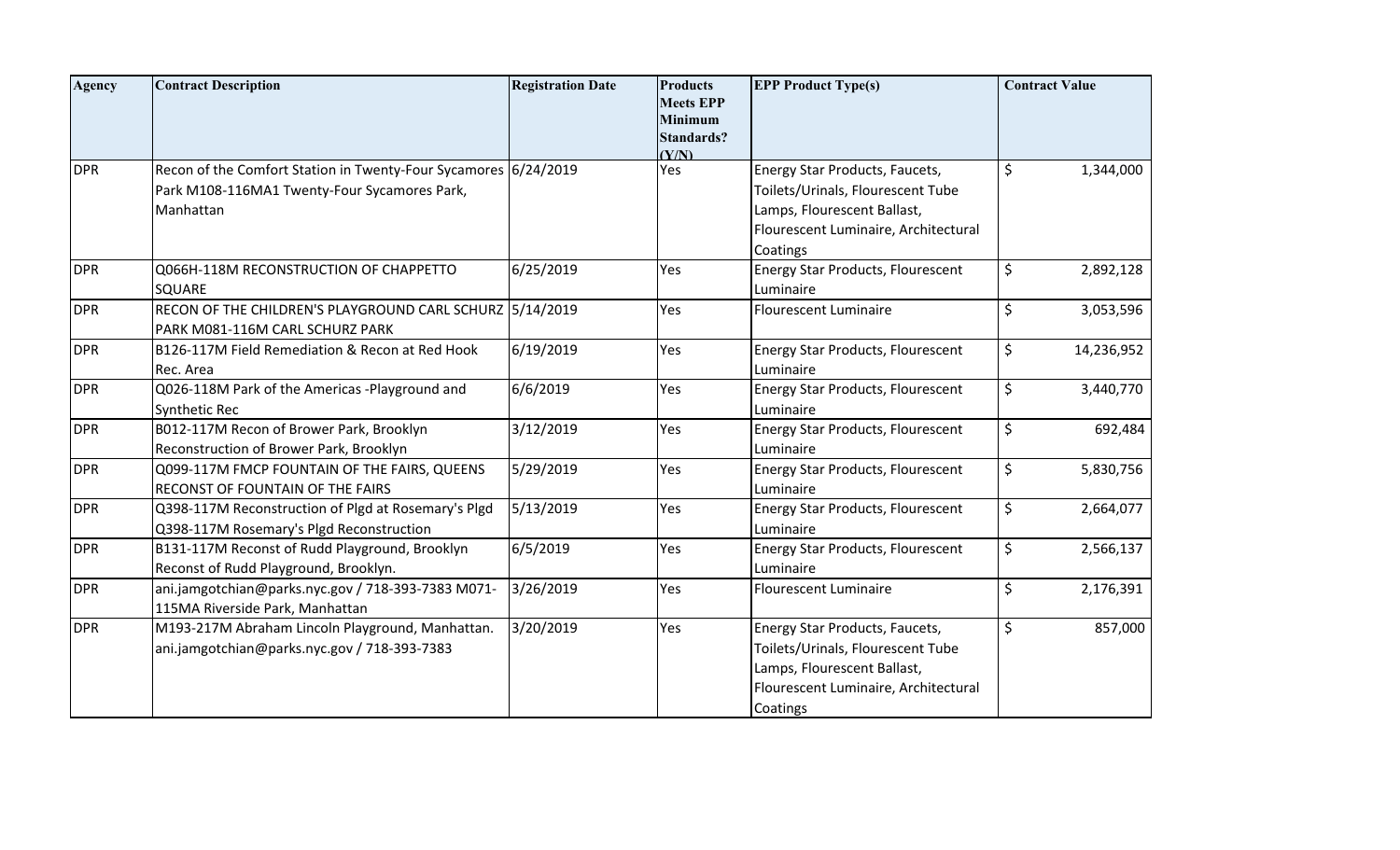| <b>Agency</b> | <b>Contract Description</b>                                                                                                  | <b>Registration Date</b> | <b>Products</b><br><b>Meets EPP</b><br><b>Minimum</b><br><b>Standards?</b><br>(Y/N) | <b>EPP Product Type(s)</b>                                                                                                                             | <b>Contract Value</b> |
|---------------|------------------------------------------------------------------------------------------------------------------------------|--------------------------|-------------------------------------------------------------------------------------|--------------------------------------------------------------------------------------------------------------------------------------------------------|-----------------------|
| <b>DPR</b>    | Recon of the Comfort Station in Twenty-Four Sycamores 6/24/2019<br>Park M108-116MA1 Twenty-Four Sycamores Park,<br>Manhattan |                          | Yes                                                                                 | Energy Star Products, Faucets,<br>Toilets/Urinals, Flourescent Tube<br>Lamps, Flourescent Ballast,<br>Flourescent Luminaire, Architectural<br>Coatings | \$<br>1,344,000       |
| <b>DPR</b>    | Q066H-118M RECONSTRUCTION OF CHAPPETTO<br>SQUARE                                                                             | 6/25/2019                | Yes                                                                                 | Energy Star Products, Flourescent<br>Luminaire                                                                                                         | \$<br>2,892,128       |
| <b>DPR</b>    | RECON OF THE CHILDREN'S PLAYGROUND CARL SCHURZ 5/14/2019<br>PARK M081-116M CARL SCHURZ PARK                                  |                          | Yes                                                                                 | <b>Flourescent Luminaire</b>                                                                                                                           | \$<br>3,053,596       |
| <b>DPR</b>    | B126-117M Field Remediation & Recon at Red Hook<br>Rec. Area                                                                 | 6/19/2019                | Yes                                                                                 | <b>Energy Star Products, Flourescent</b><br>Luminaire                                                                                                  | \$<br>14,236,952      |
| <b>DPR</b>    | Q026-118M Park of the Americas -Playground and<br>Synthetic Rec                                                              | 6/6/2019                 | Yes                                                                                 | <b>Energy Star Products, Flourescent</b><br>Luminaire                                                                                                  | \$<br>3,440,770       |
| <b>DPR</b>    | B012-117M Recon of Brower Park, Brooklyn<br>Reconstruction of Brower Park, Brooklyn                                          | 3/12/2019                | Yes                                                                                 | <b>Energy Star Products, Flourescent</b><br>Luminaire                                                                                                  | \$<br>692,484         |
| <b>DPR</b>    | Q099-117M FMCP FOUNTAIN OF THE FAIRS, QUEENS<br>RECONST OF FOUNTAIN OF THE FAIRS                                             | 5/29/2019                | Yes                                                                                 | <b>Energy Star Products, Flourescent</b><br>Luminaire                                                                                                  | \$<br>5,830,756       |
| <b>DPR</b>    | Q398-117M Reconstruction of Plgd at Rosemary's Plgd<br>Q398-117M Rosemary's Plgd Reconstruction                              | 5/13/2019                | Yes                                                                                 | <b>Energy Star Products, Flourescent</b><br>Luminaire                                                                                                  | \$<br>2,664,077       |
| <b>DPR</b>    | B131-117M Reconst of Rudd Playground, Brooklyn<br>Reconst of Rudd Playground, Brooklyn.                                      | 6/5/2019                 | Yes                                                                                 | <b>Energy Star Products, Flourescent</b><br>Luminaire                                                                                                  | \$<br>2,566,137       |
| <b>DPR</b>    | ani.jamgotchian@parks.nyc.gov / 718-393-7383 M071-<br>115MA Riverside Park, Manhattan                                        | 3/26/2019                | Yes                                                                                 | <b>Flourescent Luminaire</b>                                                                                                                           | \$<br>2,176,391       |
| <b>DPR</b>    | M193-217M Abraham Lincoln Playground, Manhattan.<br>ani.jamgotchian@parks.nyc.gov / 718-393-7383                             | 3/20/2019                | Yes                                                                                 | Energy Star Products, Faucets,<br>Toilets/Urinals, Flourescent Tube<br>Lamps, Flourescent Ballast,<br>Flourescent Luminaire, Architectural<br>Coatings | \$<br>857,000         |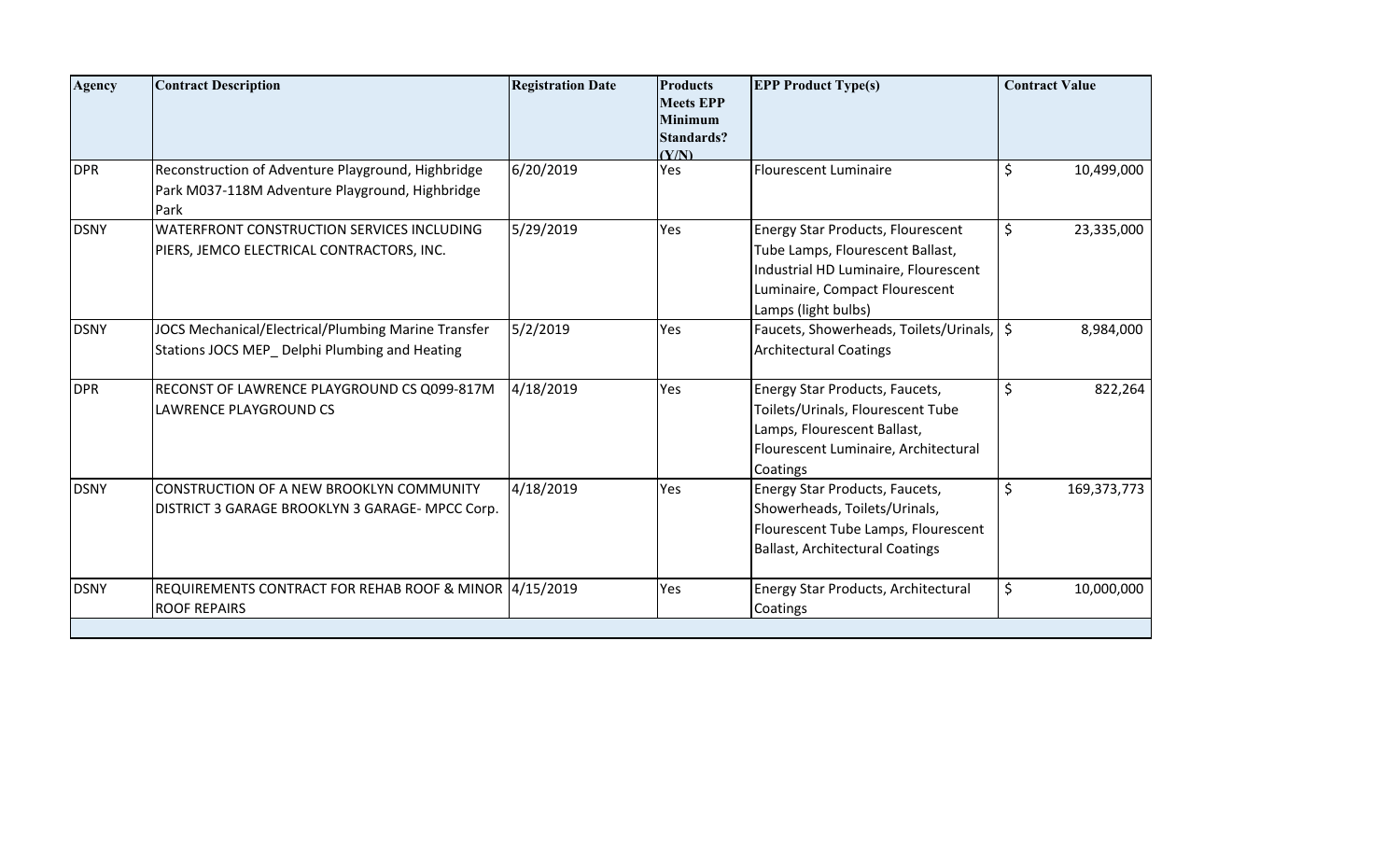| <b>Agency</b> | <b>Contract Description</b>                                                                                   | <b>Registration Date</b> | <b>Products</b><br><b>Meets EPP</b><br><b>Minimum</b><br><b>Standards?</b><br>(Y/N) | <b>EPP Product Type(s)</b>                                                                                                                                                    | <b>Contract Value</b> |
|---------------|---------------------------------------------------------------------------------------------------------------|--------------------------|-------------------------------------------------------------------------------------|-------------------------------------------------------------------------------------------------------------------------------------------------------------------------------|-----------------------|
| <b>DPR</b>    | Reconstruction of Adventure Playground, Highbridge<br>Park M037-118M Adventure Playground, Highbridge<br>Park | 6/20/2019                | Yes                                                                                 | <b>Flourescent Luminaire</b>                                                                                                                                                  | \$<br>10,499,000      |
| <b>DSNY</b>   | WATERFRONT CONSTRUCTION SERVICES INCLUDING<br>PIERS, JEMCO ELECTRICAL CONTRACTORS, INC.                       | 5/29/2019                | Yes                                                                                 | <b>Energy Star Products, Flourescent</b><br>Tube Lamps, Flourescent Ballast,<br>Industrial HD Luminaire, Flourescent<br>Luminaire, Compact Flourescent<br>Lamps (light bulbs) | \$<br>23,335,000      |
| <b>DSNY</b>   | JOCS Mechanical/Electrical/Plumbing Marine Transfer<br>Stations JOCS MEP_Delphi Plumbing and Heating          | 5/2/2019                 | Yes                                                                                 | Faucets, Showerheads, Toilets/Urinals, S<br><b>Architectural Coatings</b>                                                                                                     | 8,984,000             |
| <b>DPR</b>    | RECONST OF LAWRENCE PLAYGROUND CS Q099-817M<br>LAWRENCE PLAYGROUND CS                                         | 4/18/2019                | Yes                                                                                 | Energy Star Products, Faucets,<br>Toilets/Urinals, Flourescent Tube<br>Lamps, Flourescent Ballast,<br>Flourescent Luminaire, Architectural<br>Coatings                        | \$<br>822,264         |
| <b>DSNY</b>   | CONSTRUCTION OF A NEW BROOKLYN COMMUNITY<br>DISTRICT 3 GARAGE BROOKLYN 3 GARAGE- MPCC Corp.                   | 4/18/2019                | Yes                                                                                 | Energy Star Products, Faucets,<br>Showerheads, Toilets/Urinals,<br>Flourescent Tube Lamps, Flourescent<br><b>Ballast, Architectural Coatings</b>                              | \$<br>169,373,773     |
| <b>DSNY</b>   | REQUIREMENTS CONTRACT FOR REHAB ROOF & MINOR 4/15/2019<br><b>ROOF REPAIRS</b>                                 |                          | Yes                                                                                 | Energy Star Products, Architectural<br>Coatings                                                                                                                               | \$<br>10,000,000      |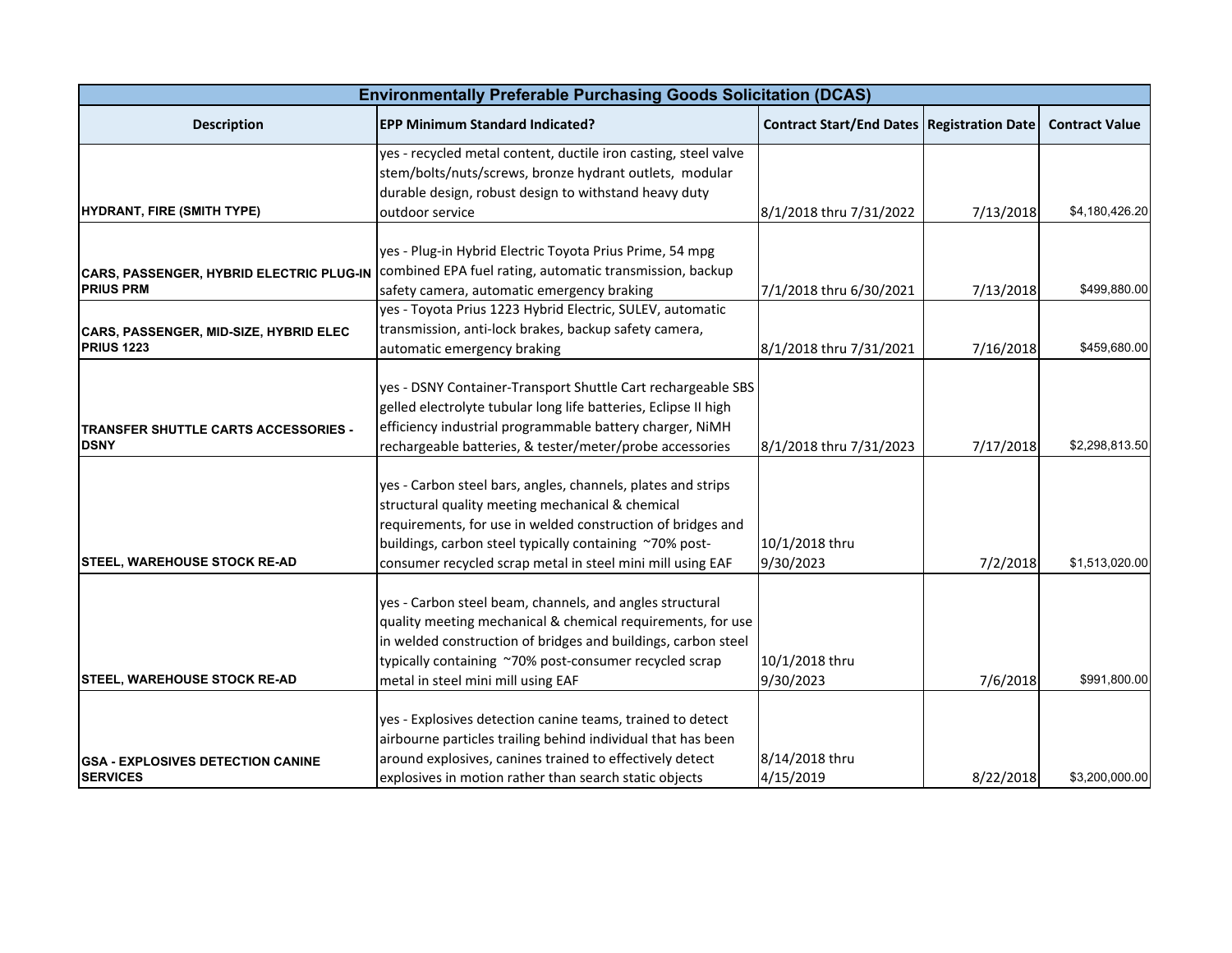| <b>Environmentally Preferable Purchasing Goods Solicitation (DCAS)</b> |                                                                                                                                                                                                                                                                                                          |                                                     |           |                       |  |
|------------------------------------------------------------------------|----------------------------------------------------------------------------------------------------------------------------------------------------------------------------------------------------------------------------------------------------------------------------------------------------------|-----------------------------------------------------|-----------|-----------------------|--|
| <b>Description</b>                                                     | <b>EPP Minimum Standard Indicated?</b>                                                                                                                                                                                                                                                                   | <b>Contract Start/End Dates   Registration Date</b> |           | <b>Contract Value</b> |  |
|                                                                        | yes - recycled metal content, ductile iron casting, steel valve<br>stem/bolts/nuts/screws, bronze hydrant outlets, modular                                                                                                                                                                               |                                                     |           |                       |  |
| HYDRANT, FIRE (SMITH TYPE)                                             | durable design, robust design to withstand heavy duty<br>outdoor service                                                                                                                                                                                                                                 | 8/1/2018 thru 7/31/2022                             | 7/13/2018 | \$4,180,426.20        |  |
| CARS, PASSENGER, HYBRID ELECTRIC PLUG-IN                               | yes - Plug-in Hybrid Electric Toyota Prius Prime, 54 mpg<br>combined EPA fuel rating, automatic transmission, backup                                                                                                                                                                                     |                                                     |           |                       |  |
| <b>PRIUS PRM</b>                                                       | safety camera, automatic emergency braking                                                                                                                                                                                                                                                               | 7/1/2018 thru 6/30/2021                             | 7/13/2018 | \$499,880.00          |  |
| CARS, PASSENGER, MID-SIZE, HYBRID ELEC<br>PRIUS <sub>1223</sub>        | yes - Toyota Prius 1223 Hybrid Electric, SULEV, automatic<br>transmission, anti-lock brakes, backup safety camera,                                                                                                                                                                                       |                                                     |           | \$459,680.00          |  |
|                                                                        | automatic emergency braking                                                                                                                                                                                                                                                                              | 8/1/2018 thru 7/31/2021                             | 7/16/2018 |                       |  |
| TRANSFER SHUTTLE CARTS ACCESSORIES -<br><b>DSNY</b>                    | yes - DSNY Container-Transport Shuttle Cart rechargeable SBS<br>gelled electrolyte tubular long life batteries, Eclipse II high<br>efficiency industrial programmable battery charger, NiMH<br>rechargeable batteries, & tester/meter/probe accessories                                                  | 8/1/2018 thru 7/31/2023                             | 7/17/2018 | \$2,298,813.50        |  |
| <b>STEEL, WAREHOUSE STOCK RE-AD</b>                                    | yes - Carbon steel bars, angles, channels, plates and strips<br>structural quality meeting mechanical & chemical<br>requirements, for use in welded construction of bridges and<br>buildings, carbon steel typically containing ~70% post-<br>consumer recycled scrap metal in steel mini mill using EAF | 10/1/2018 thru<br>9/30/2023                         | 7/2/2018  | \$1,513,020.00        |  |
| <b>STEEL, WAREHOUSE STOCK RE-AD</b>                                    | yes - Carbon steel beam, channels, and angles structural<br>quality meeting mechanical & chemical requirements, for use<br>in welded construction of bridges and buildings, carbon steel<br>typically containing ~70% post-consumer recycled scrap<br>metal in steel mini mill using EAF                 | 10/1/2018 thru<br>9/30/2023                         | 7/6/2018  | \$991,800.00          |  |
| <b>GSA - EXPLOSIVES DETECTION CANINE</b>                               | yes - Explosives detection canine teams, trained to detect<br>airbourne particles trailing behind individual that has been<br>around explosives, canines trained to effectively detect                                                                                                                   | 8/14/2018 thru                                      |           |                       |  |
| <b>SERVICES</b>                                                        | explosives in motion rather than search static objects                                                                                                                                                                                                                                                   | 4/15/2019                                           | 8/22/2018 | \$3,200,000.00        |  |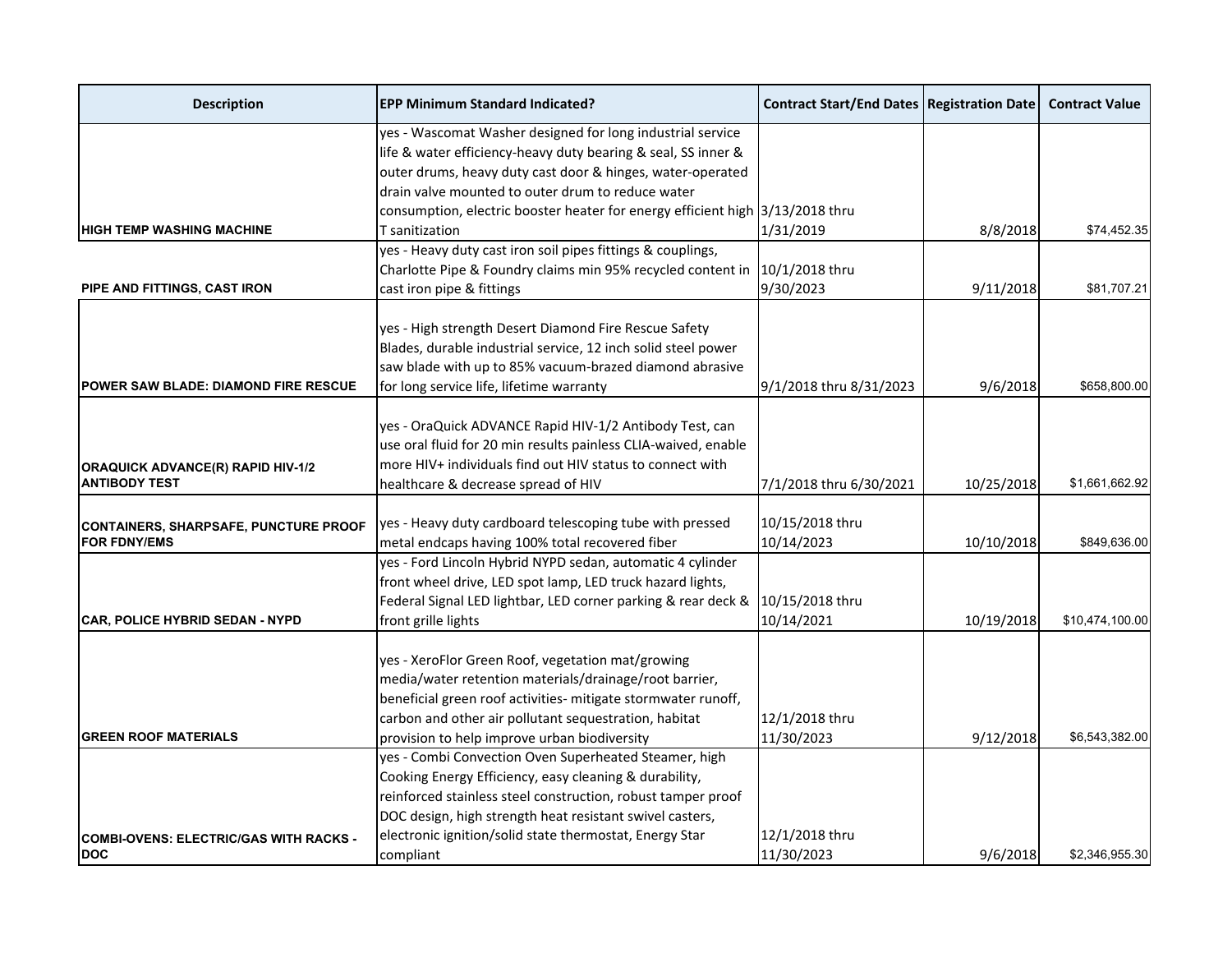| <b>Description</b>                                               | <b>EPP Minimum Standard Indicated?</b>                                        | <b>Contract Start/End Dates   Registration Date  </b> |            | <b>Contract Value</b> |
|------------------------------------------------------------------|-------------------------------------------------------------------------------|-------------------------------------------------------|------------|-----------------------|
|                                                                  | yes - Wascomat Washer designed for long industrial service                    |                                                       |            |                       |
|                                                                  | life & water efficiency-heavy duty bearing & seal, SS inner &                 |                                                       |            |                       |
|                                                                  | outer drums, heavy duty cast door & hinges, water-operated                    |                                                       |            |                       |
|                                                                  | drain valve mounted to outer drum to reduce water                             |                                                       |            |                       |
|                                                                  | consumption, electric booster heater for energy efficient high 3/13/2018 thru |                                                       |            |                       |
| <b>HIGH TEMP WASHING MACHINE</b>                                 | T sanitization                                                                | 1/31/2019                                             | 8/8/2018   | \$74,452.35           |
|                                                                  | yes - Heavy duty cast iron soil pipes fittings & couplings,                   |                                                       |            |                       |
|                                                                  | Charlotte Pipe & Foundry claims min 95% recycled content in                   | 10/1/2018 thru                                        |            |                       |
| PIPE AND FITTINGS, CAST IRON                                     | cast iron pipe & fittings                                                     | 9/30/2023                                             | 9/11/2018  | \$81,707.21           |
|                                                                  | yes - High strength Desert Diamond Fire Rescue Safety                         |                                                       |            |                       |
|                                                                  | Blades, durable industrial service, 12 inch solid steel power                 |                                                       |            |                       |
|                                                                  | saw blade with up to 85% vacuum-brazed diamond abrasive                       |                                                       |            |                       |
| <b>POWER SAW BLADE: DIAMOND FIRE RESCUE</b>                      |                                                                               | 9/1/2018 thru 8/31/2023                               | 9/6/2018   | \$658,800.00          |
|                                                                  | for long service life, lifetime warranty                                      |                                                       |            |                       |
|                                                                  | yes - OraQuick ADVANCE Rapid HIV-1/2 Antibody Test, can                       |                                                       |            |                       |
|                                                                  | use oral fluid for 20 min results painless CLIA-waived, enable                |                                                       |            |                       |
|                                                                  | more HIV+ individuals find out HIV status to connect with                     |                                                       |            |                       |
| <b>ORAQUICK ADVANCE(R) RAPID HIV-1/2</b><br><b>ANTIBODY TEST</b> |                                                                               |                                                       |            |                       |
|                                                                  | healthcare & decrease spread of HIV                                           | 7/1/2018 thru 6/30/2021                               | 10/25/2018 | \$1,661,662.92        |
|                                                                  | yes - Heavy duty cardboard telescoping tube with pressed                      | 10/15/2018 thru                                       |            |                       |
| CONTAINERS, SHARPSAFE, PUNCTURE PROOF<br><b>FOR FDNY/EMS</b>     | metal endcaps having 100% total recovered fiber                               | 10/14/2023                                            | 10/10/2018 | \$849,636.00          |
|                                                                  | yes - Ford Lincoln Hybrid NYPD sedan, automatic 4 cylinder                    |                                                       |            |                       |
|                                                                  | front wheel drive, LED spot lamp, LED truck hazard lights,                    |                                                       |            |                       |
|                                                                  |                                                                               |                                                       |            |                       |
|                                                                  | Federal Signal LED lightbar, LED corner parking & rear deck &                 | 10/15/2018 thru                                       |            |                       |
| <b>CAR, POLICE HYBRID SEDAN - NYPD</b>                           | front grille lights                                                           | 10/14/2021                                            | 10/19/2018 | \$10,474,100.00       |
|                                                                  | yes - XeroFlor Green Roof, vegetation mat/growing                             |                                                       |            |                       |
|                                                                  | media/water retention materials/drainage/root barrier,                        |                                                       |            |                       |
|                                                                  | beneficial green roof activities- mitigate stormwater runoff,                 |                                                       |            |                       |
|                                                                  | carbon and other air pollutant sequestration, habitat                         | 12/1/2018 thru                                        |            |                       |
| <b>GREEN ROOF MATERIALS</b>                                      | provision to help improve urban biodiversity                                  | 11/30/2023                                            | 9/12/2018  | \$6,543,382.00        |
|                                                                  | yes - Combi Convection Oven Superheated Steamer, high                         |                                                       |            |                       |
|                                                                  | Cooking Energy Efficiency, easy cleaning & durability,                        |                                                       |            |                       |
|                                                                  | reinforced stainless steel construction, robust tamper proof                  |                                                       |            |                       |
|                                                                  |                                                                               |                                                       |            |                       |
|                                                                  | DOC design, high strength heat resistant swivel casters,                      |                                                       |            |                       |
| <b>COMBI-OVENS: ELECTRIC/GAS WITH RACKS -</b>                    | electronic ignition/solid state thermostat, Energy Star                       | 12/1/2018 thru                                        |            |                       |
| DOC                                                              | compliant                                                                     | 11/30/2023                                            | 9/6/2018   | \$2,346,955.30        |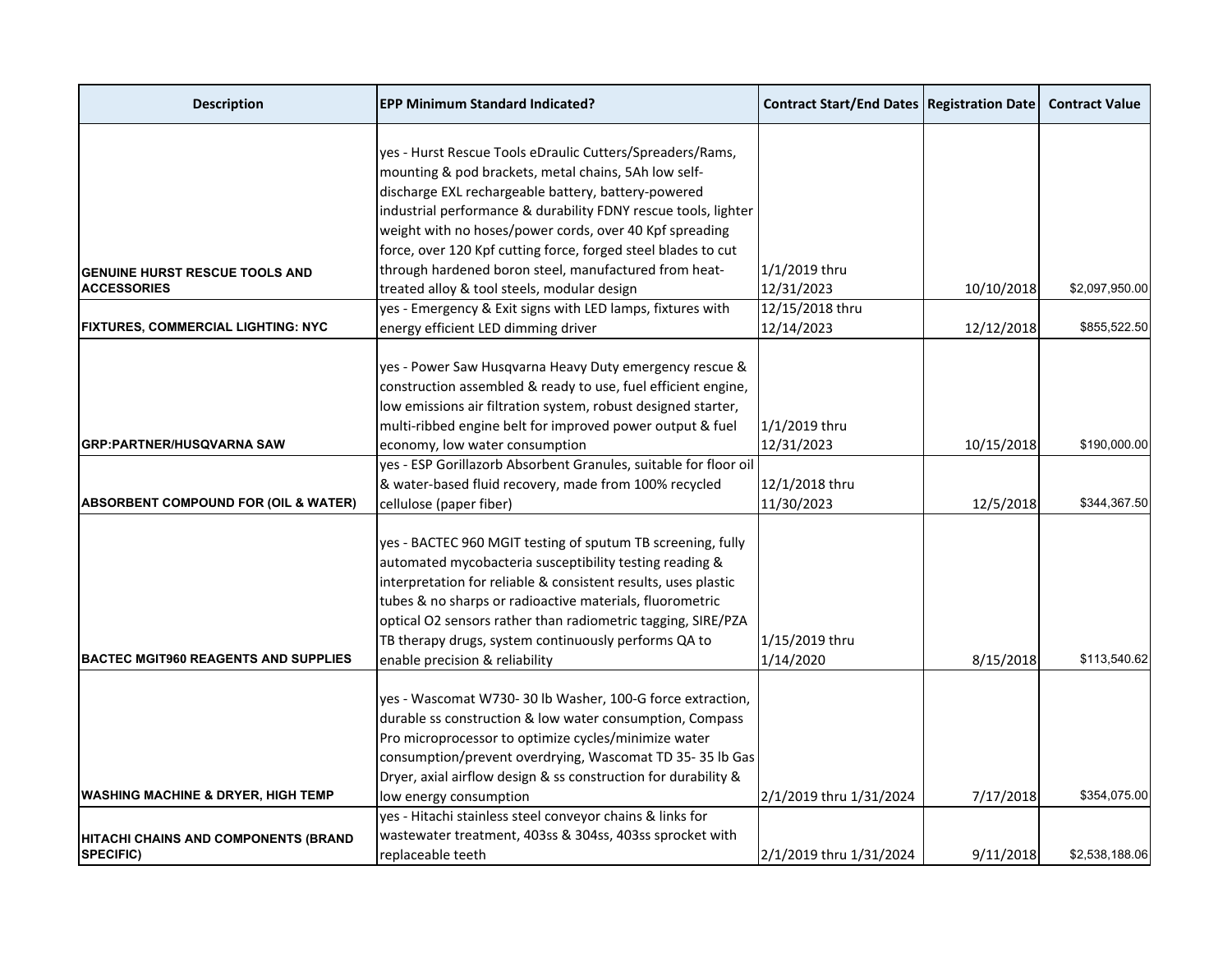| <b>Description</b>                              | <b>EPP Minimum Standard Indicated?</b>                                                                            | <b>Contract Start/End Dates   Registration Date  </b> |            | <b>Contract Value</b> |
|-------------------------------------------------|-------------------------------------------------------------------------------------------------------------------|-------------------------------------------------------|------------|-----------------------|
|                                                 |                                                                                                                   |                                                       |            |                       |
|                                                 | yes - Hurst Rescue Tools eDraulic Cutters/Spreaders/Rams,<br>mounting & pod brackets, metal chains, 5Ah low self- |                                                       |            |                       |
|                                                 | discharge EXL rechargeable battery, battery-powered                                                               |                                                       |            |                       |
|                                                 | industrial performance & durability FDNY rescue tools, lighter                                                    |                                                       |            |                       |
|                                                 | weight with no hoses/power cords, over 40 Kpf spreading                                                           |                                                       |            |                       |
|                                                 | force, over 120 Kpf cutting force, forged steel blades to cut                                                     |                                                       |            |                       |
| <b>GENUINE HURST RESCUE TOOLS AND</b>           | through hardened boron steel, manufactured from heat-                                                             | 1/1/2019 thru                                         |            |                       |
| <b>ACCESSORIES</b>                              | treated alloy & tool steels, modular design                                                                       | 12/31/2023                                            | 10/10/2018 | \$2,097,950.00        |
|                                                 | yes - Emergency & Exit signs with LED lamps, fixtures with                                                        | 12/15/2018 thru                                       |            |                       |
| <b>FIXTURES, COMMERCIAL LIGHTING: NYC</b>       | energy efficient LED dimming driver                                                                               | 12/14/2023                                            | 12/12/2018 | \$855,522.50          |
|                                                 |                                                                                                                   |                                                       |            |                       |
|                                                 | yes - Power Saw Husqvarna Heavy Duty emergency rescue &                                                           |                                                       |            |                       |
|                                                 | construction assembled & ready to use, fuel efficient engine,                                                     |                                                       |            |                       |
|                                                 | low emissions air filtration system, robust designed starter,                                                     |                                                       |            |                       |
|                                                 | multi-ribbed engine belt for improved power output & fuel                                                         | 1/1/2019 thru                                         |            |                       |
| <b>GRP:PARTNER/HUSQVARNA SAW</b>                | economy, low water consumption                                                                                    | 12/31/2023                                            | 10/15/2018 | \$190,000.00          |
|                                                 | yes - ESP Gorillazorb Absorbent Granules, suitable for floor oil                                                  |                                                       |            |                       |
|                                                 | & water-based fluid recovery, made from 100% recycled                                                             | 12/1/2018 thru                                        |            |                       |
| <b>ABSORBENT COMPOUND FOR (OIL &amp; WATER)</b> | cellulose (paper fiber)                                                                                           | 11/30/2023                                            | 12/5/2018  | \$344,367.50          |
|                                                 |                                                                                                                   |                                                       |            |                       |
|                                                 | yes - BACTEC 960 MGIT testing of sputum TB screening, fully                                                       |                                                       |            |                       |
|                                                 | automated mycobacteria susceptibility testing reading &                                                           |                                                       |            |                       |
|                                                 | interpretation for reliable & consistent results, uses plastic                                                    |                                                       |            |                       |
|                                                 | tubes & no sharps or radioactive materials, fluorometric                                                          |                                                       |            |                       |
|                                                 | optical O2 sensors rather than radiometric tagging, SIRE/PZA                                                      |                                                       |            |                       |
|                                                 | TB therapy drugs, system continuously performs QA to                                                              | 1/15/2019 thru                                        |            |                       |
| <b>BACTEC MGIT960 REAGENTS AND SUPPLIES</b>     | enable precision & reliability                                                                                    | 1/14/2020                                             | 8/15/2018  | \$113,540.62          |
|                                                 |                                                                                                                   |                                                       |            |                       |
|                                                 | yes - Wascomat W730-30 lb Washer, 100-G force extraction,                                                         |                                                       |            |                       |
|                                                 | durable ss construction & low water consumption, Compass                                                          |                                                       |            |                       |
|                                                 | Pro microprocessor to optimize cycles/minimize water                                                              |                                                       |            |                       |
|                                                 | consumption/prevent overdrying, Wascomat TD 35-35 lb Gas                                                          |                                                       |            |                       |
|                                                 | Dryer, axial airflow design & ss construction for durability &                                                    |                                                       |            |                       |
| <b>WASHING MACHINE &amp; DRYER, HIGH TEMP</b>   | low energy consumption                                                                                            | 2/1/2019 thru 1/31/2024                               | 7/17/2018  | \$354,075.00          |
|                                                 | yes - Hitachi stainless steel conveyor chains & links for                                                         |                                                       |            |                       |
| <b>HITACHI CHAINS AND COMPONENTS (BRAND</b>     | wastewater treatment, 403ss & 304ss, 403ss sprocket with                                                          |                                                       |            |                       |
| <b>SPECIFIC)</b>                                | replaceable teeth                                                                                                 | 2/1/2019 thru 1/31/2024                               | 9/11/2018  | \$2,538,188.06        |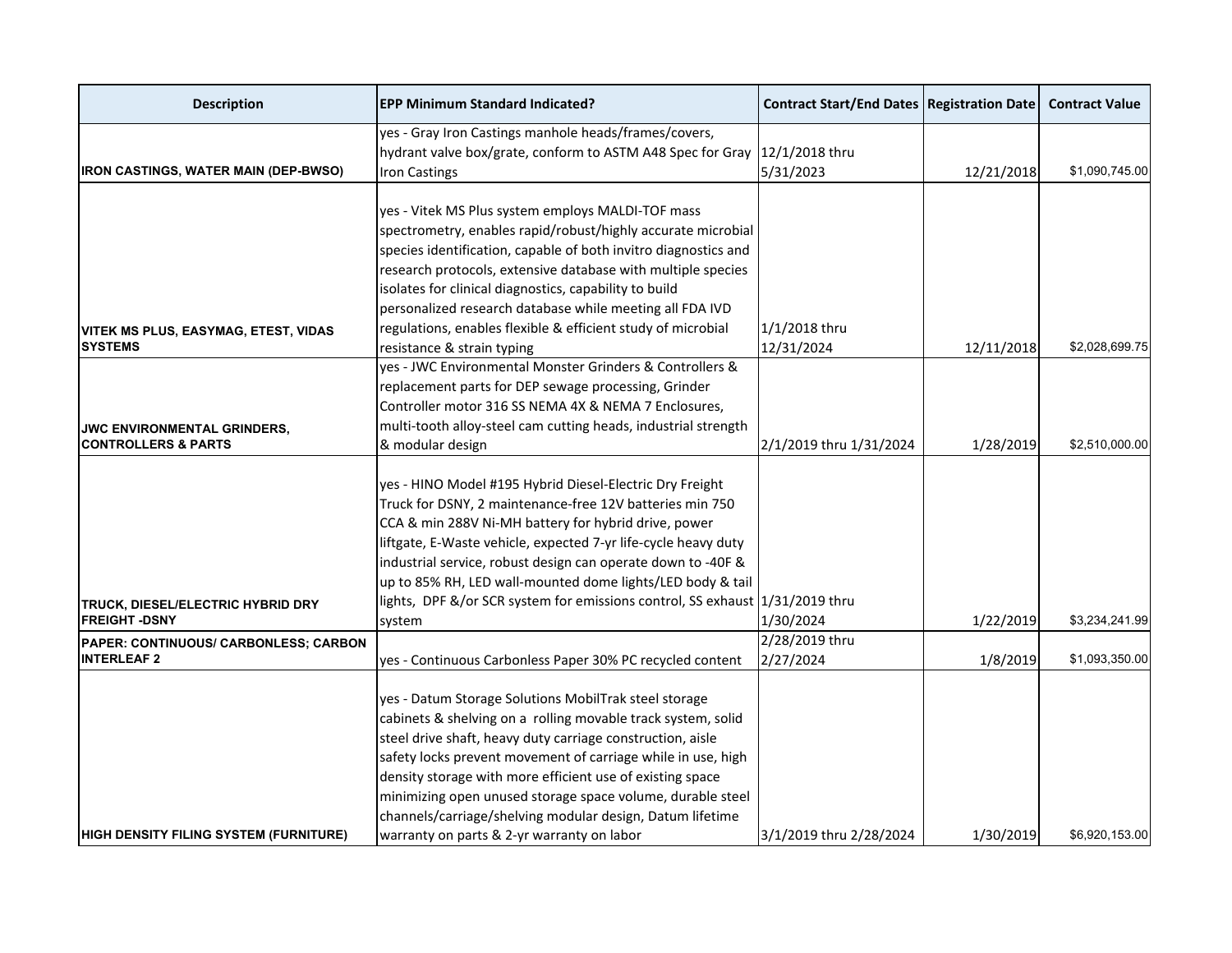| <b>Description</b>                                       | <b>EPP Minimum Standard Indicated?</b>                                                                                                                                                                                                                                                                                                                                                                                                                                                    | <b>Contract Start/End Dates   Registration Date  </b> |            | <b>Contract Value</b> |
|----------------------------------------------------------|-------------------------------------------------------------------------------------------------------------------------------------------------------------------------------------------------------------------------------------------------------------------------------------------------------------------------------------------------------------------------------------------------------------------------------------------------------------------------------------------|-------------------------------------------------------|------------|-----------------------|
|                                                          | yes - Gray Iron Castings manhole heads/frames/covers,                                                                                                                                                                                                                                                                                                                                                                                                                                     |                                                       |            |                       |
|                                                          | hydrant valve box/grate, conform to ASTM A48 Spec for Gray                                                                                                                                                                                                                                                                                                                                                                                                                                | 12/1/2018 thru                                        |            |                       |
| <b>IRON CASTINGS, WATER MAIN (DEP-BWSO)</b>              | <b>Iron Castings</b>                                                                                                                                                                                                                                                                                                                                                                                                                                                                      | 5/31/2023                                             | 12/21/2018 | \$1,090,745.00        |
|                                                          |                                                                                                                                                                                                                                                                                                                                                                                                                                                                                           |                                                       |            |                       |
|                                                          | yes - Vitek MS Plus system employs MALDI-TOF mass                                                                                                                                                                                                                                                                                                                                                                                                                                         |                                                       |            |                       |
|                                                          | spectrometry, enables rapid/robust/highly accurate microbial                                                                                                                                                                                                                                                                                                                                                                                                                              |                                                       |            |                       |
|                                                          | species identification, capable of both invitro diagnostics and                                                                                                                                                                                                                                                                                                                                                                                                                           |                                                       |            |                       |
|                                                          | research protocols, extensive database with multiple species                                                                                                                                                                                                                                                                                                                                                                                                                              |                                                       |            |                       |
|                                                          | isolates for clinical diagnostics, capability to build                                                                                                                                                                                                                                                                                                                                                                                                                                    |                                                       |            |                       |
|                                                          | personalized research database while meeting all FDA IVD                                                                                                                                                                                                                                                                                                                                                                                                                                  |                                                       |            |                       |
| <b>VITEK MS PLUS, EASYMAG, ETEST, VIDAS</b>              | regulations, enables flexible & efficient study of microbial                                                                                                                                                                                                                                                                                                                                                                                                                              | 1/1/2018 thru                                         |            |                       |
| <b>SYSTEMS</b>                                           | resistance & strain typing                                                                                                                                                                                                                                                                                                                                                                                                                                                                | 12/31/2024                                            | 12/11/2018 | \$2,028,699.75        |
|                                                          | yes - JWC Environmental Monster Grinders & Controllers &                                                                                                                                                                                                                                                                                                                                                                                                                                  |                                                       |            |                       |
|                                                          | replacement parts for DEP sewage processing, Grinder                                                                                                                                                                                                                                                                                                                                                                                                                                      |                                                       |            |                       |
|                                                          | Controller motor 316 SS NEMA 4X & NEMA 7 Enclosures,                                                                                                                                                                                                                                                                                                                                                                                                                                      |                                                       |            |                       |
| <b>JWC ENVIRONMENTAL GRINDERS,</b>                       | multi-tooth alloy-steel cam cutting heads, industrial strength                                                                                                                                                                                                                                                                                                                                                                                                                            |                                                       |            |                       |
| <b>CONTROLLERS &amp; PARTS</b>                           | & modular design                                                                                                                                                                                                                                                                                                                                                                                                                                                                          | 2/1/2019 thru 1/31/2024                               | 1/28/2019  | \$2,510,000.00        |
|                                                          | yes - HINO Model #195 Hybrid Diesel-Electric Dry Freight<br>Truck for DSNY, 2 maintenance-free 12V batteries min 750<br>CCA & min 288V Ni-MH battery for hybrid drive, power<br>liftgate, E-Waste vehicle, expected 7-yr life-cycle heavy duty<br>industrial service, robust design can operate down to -40F &<br>up to 85% RH, LED wall-mounted dome lights/LED body & tail<br>lights, DPF &/or SCR system for emissions control, SS exhaust 1/31/2019 thru                              |                                                       |            |                       |
| TRUCK, DIESEL/ELECTRIC HYBRID DRY<br><b>FREIGHT-DSNY</b> | system                                                                                                                                                                                                                                                                                                                                                                                                                                                                                    | 1/30/2024                                             | 1/22/2019  | \$3,234,241.99        |
| PAPER: CONTINUOUS/ CARBONLESS; CARBON                    |                                                                                                                                                                                                                                                                                                                                                                                                                                                                                           | 2/28/2019 thru                                        |            |                       |
| <b>INTERLEAF 2</b>                                       | yes - Continuous Carbonless Paper 30% PC recycled content                                                                                                                                                                                                                                                                                                                                                                                                                                 | 2/27/2024                                             | 1/8/2019   | \$1,093,350.00        |
| <b>HIGH DENSITY FILING SYSTEM (FURNITURE)</b>            | yes - Datum Storage Solutions MobilTrak steel storage<br>cabinets & shelving on a rolling movable track system, solid<br>steel drive shaft, heavy duty carriage construction, aisle<br>safety locks prevent movement of carriage while in use, high<br>density storage with more efficient use of existing space<br>minimizing open unused storage space volume, durable steel<br>channels/carriage/shelving modular design, Datum lifetime<br>warranty on parts & 2-yr warranty on labor | 3/1/2019 thru 2/28/2024                               | 1/30/2019  | \$6,920,153.00        |
|                                                          |                                                                                                                                                                                                                                                                                                                                                                                                                                                                                           |                                                       |            |                       |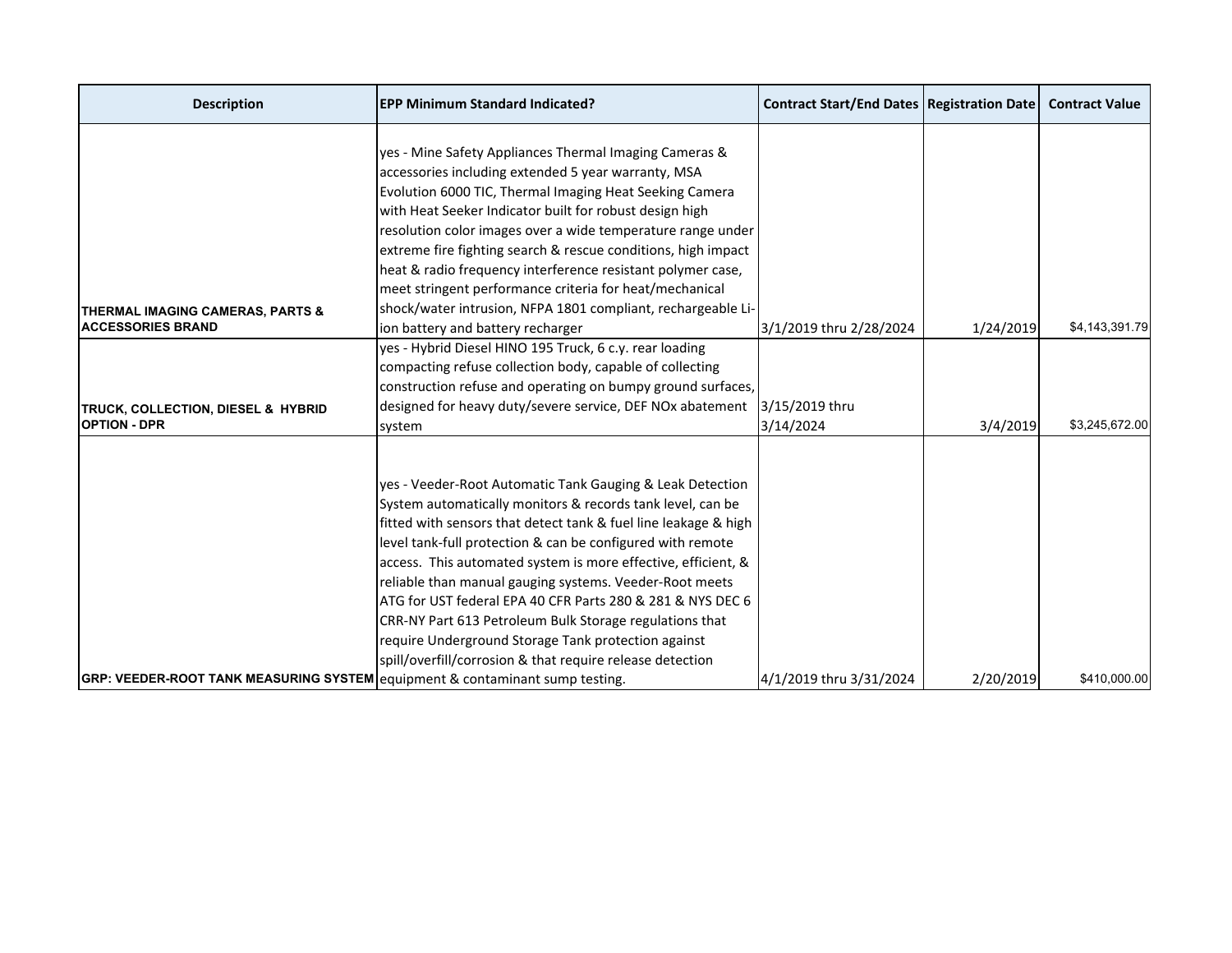| <b>Description</b>                                                           | <b>EPP Minimum Standard Indicated?</b>                          | <b>Contract Start/End Dates   Registration Date</b> |           | <b>Contract Value</b> |
|------------------------------------------------------------------------------|-----------------------------------------------------------------|-----------------------------------------------------|-----------|-----------------------|
|                                                                              |                                                                 |                                                     |           |                       |
|                                                                              | yes - Mine Safety Appliances Thermal Imaging Cameras &          |                                                     |           |                       |
|                                                                              | accessories including extended 5 year warranty, MSA             |                                                     |           |                       |
|                                                                              | Evolution 6000 TIC, Thermal Imaging Heat Seeking Camera         |                                                     |           |                       |
|                                                                              | with Heat Seeker Indicator built for robust design high         |                                                     |           |                       |
|                                                                              | resolution color images over a wide temperature range under     |                                                     |           |                       |
|                                                                              | extreme fire fighting search & rescue conditions, high impact   |                                                     |           |                       |
|                                                                              | heat & radio frequency interference resistant polymer case,     |                                                     |           |                       |
|                                                                              | meet stringent performance criteria for heat/mechanical         |                                                     |           |                       |
| THERMAL IMAGING CAMERAS, PARTS &                                             | shock/water intrusion, NFPA 1801 compliant, rechargeable Li-    |                                                     |           |                       |
| <b>ACCESSORIES BRAND</b>                                                     | ion battery and battery recharger                               | 3/1/2019 thru 2/28/2024                             | 1/24/2019 | \$4,143,391.79        |
|                                                                              | yes - Hybrid Diesel HINO 195 Truck, 6 c.y. rear loading         |                                                     |           |                       |
|                                                                              | compacting refuse collection body, capable of collecting        |                                                     |           |                       |
|                                                                              | construction refuse and operating on bumpy ground surfaces,     |                                                     |           |                       |
| TRUCK, COLLECTION, DIESEL & HYBRID                                           | designed for heavy duty/severe service, DEF NOx abatement       | 3/15/2019 thru                                      |           |                       |
| <b>OPTION - DPR</b>                                                          | system                                                          | 3/14/2024                                           | 3/4/2019  | \$3,245,672.00        |
|                                                                              |                                                                 |                                                     |           |                       |
|                                                                              | yes - Veeder-Root Automatic Tank Gauging & Leak Detection       |                                                     |           |                       |
|                                                                              | System automatically monitors & records tank level, can be      |                                                     |           |                       |
|                                                                              | fitted with sensors that detect tank & fuel line leakage & high |                                                     |           |                       |
|                                                                              | level tank-full protection & can be configured with remote      |                                                     |           |                       |
|                                                                              | access. This automated system is more effective, efficient, &   |                                                     |           |                       |
|                                                                              | reliable than manual gauging systems. Veeder-Root meets         |                                                     |           |                       |
|                                                                              | ATG for UST federal EPA 40 CFR Parts 280 & 281 & NYS DEC 6      |                                                     |           |                       |
|                                                                              | CRR-NY Part 613 Petroleum Bulk Storage regulations that         |                                                     |           |                       |
|                                                                              | require Underground Storage Tank protection against             |                                                     |           |                       |
|                                                                              | spill/overfill/corrosion & that require release detection       |                                                     |           |                       |
| GRP: VEEDER-ROOT TANK MEASURING SYSTEM equipment & contaminant sump testing. |                                                                 | 4/1/2019 thru 3/31/2024                             | 2/20/2019 | \$410,000.00          |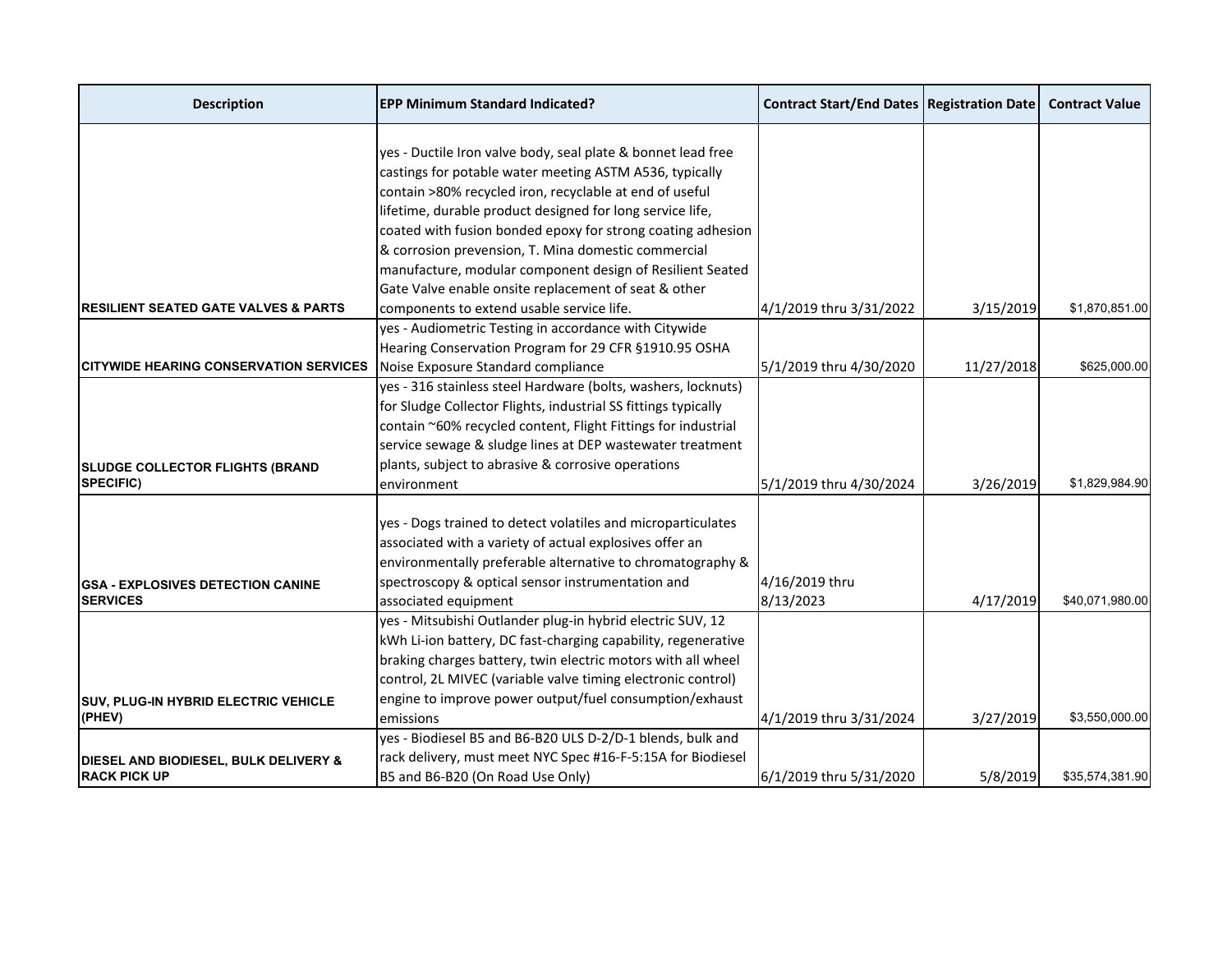| <b>Description</b>                                    | <b>EPP Minimum Standard Indicated?</b>                         | <b>Contract Start/End Dates   Registration Date</b> |            | <b>Contract Value</b> |
|-------------------------------------------------------|----------------------------------------------------------------|-----------------------------------------------------|------------|-----------------------|
|                                                       |                                                                |                                                     |            |                       |
|                                                       | yes - Ductile Iron valve body, seal plate & bonnet lead free   |                                                     |            |                       |
|                                                       | castings for potable water meeting ASTM A536, typically        |                                                     |            |                       |
|                                                       | contain >80% recycled iron, recyclable at end of useful        |                                                     |            |                       |
|                                                       | lifetime, durable product designed for long service life,      |                                                     |            |                       |
|                                                       | coated with fusion bonded epoxy for strong coating adhesion    |                                                     |            |                       |
|                                                       | & corrosion prevension, T. Mina domestic commercial            |                                                     |            |                       |
|                                                       | manufacture, modular component design of Resilient Seated      |                                                     |            |                       |
|                                                       | Gate Valve enable onsite replacement of seat & other           |                                                     |            |                       |
| <b>IRESILIENT SEATED GATE VALVES &amp; PARTS</b>      | components to extend usable service life.                      | 4/1/2019 thru 3/31/2022                             | 3/15/2019  | \$1,870,851.00        |
|                                                       | yes - Audiometric Testing in accordance with Citywide          |                                                     |            |                       |
|                                                       | Hearing Conservation Program for 29 CFR §1910.95 OSHA          |                                                     |            |                       |
| <b>CITYWIDE HEARING CONSERVATION SERVICES</b>         | Noise Exposure Standard compliance                             | 5/1/2019 thru 4/30/2020                             | 11/27/2018 | \$625,000.00          |
|                                                       | yes - 316 stainless steel Hardware (bolts, washers, locknuts)  |                                                     |            |                       |
|                                                       | for Sludge Collector Flights, industrial SS fittings typically |                                                     |            |                       |
|                                                       | contain ~60% recycled content, Flight Fittings for industrial  |                                                     |            |                       |
|                                                       | service sewage & sludge lines at DEP wastewater treatment      |                                                     |            |                       |
| <b>SLUDGE COLLECTOR FLIGHTS (BRAND</b>                | plants, subject to abrasive & corrosive operations             |                                                     |            |                       |
| <b>SPECIFIC)</b>                                      | environment                                                    | 5/1/2019 thru 4/30/2024                             | 3/26/2019  | \$1,829,984.90        |
|                                                       |                                                                |                                                     |            |                       |
|                                                       | yes - Dogs trained to detect volatiles and microparticulates   |                                                     |            |                       |
|                                                       | associated with a variety of actual explosives offer an        |                                                     |            |                       |
|                                                       | environmentally preferable alternative to chromatography &     |                                                     |            |                       |
| <b>IGSA - EXPLOSIVES DETECTION CANINE</b>             | spectroscopy & optical sensor instrumentation and              | 4/16/2019 thru                                      |            |                       |
| <b>SERVICES</b>                                       | associated equipment                                           | 8/13/2023                                           | 4/17/2019  | \$40,071,980.00       |
|                                                       | yes - Mitsubishi Outlander plug-in hybrid electric SUV, 12     |                                                     |            |                       |
|                                                       | kWh Li-ion battery, DC fast-charging capability, regenerative  |                                                     |            |                       |
|                                                       | braking charges battery, twin electric motors with all wheel   |                                                     |            |                       |
|                                                       | control, 2L MIVEC (variable valve timing electronic control)   |                                                     |            |                       |
|                                                       | engine to improve power output/fuel consumption/exhaust        |                                                     |            |                       |
| <b>SUV, PLUG-IN HYBRID ELECTRIC VEHICLE</b><br>(PHEV) |                                                                |                                                     |            | \$3,550,000.00        |
|                                                       | emissions                                                      | 4/1/2019 thru 3/31/2024                             | 3/27/2019  |                       |
|                                                       | yes - Biodiesel B5 and B6-B20 ULS D-2/D-1 blends, bulk and     |                                                     |            |                       |
| DIESEL AND BIODIESEL, BULK DELIVERY &                 | rack delivery, must meet NYC Spec #16-F-5:15A for Biodiesel    |                                                     |            |                       |
| <b>RACK PICK UP</b>                                   | B5 and B6-B20 (On Road Use Only)                               | 6/1/2019 thru 5/31/2020                             | 5/8/2019   | \$35.574.381.90       |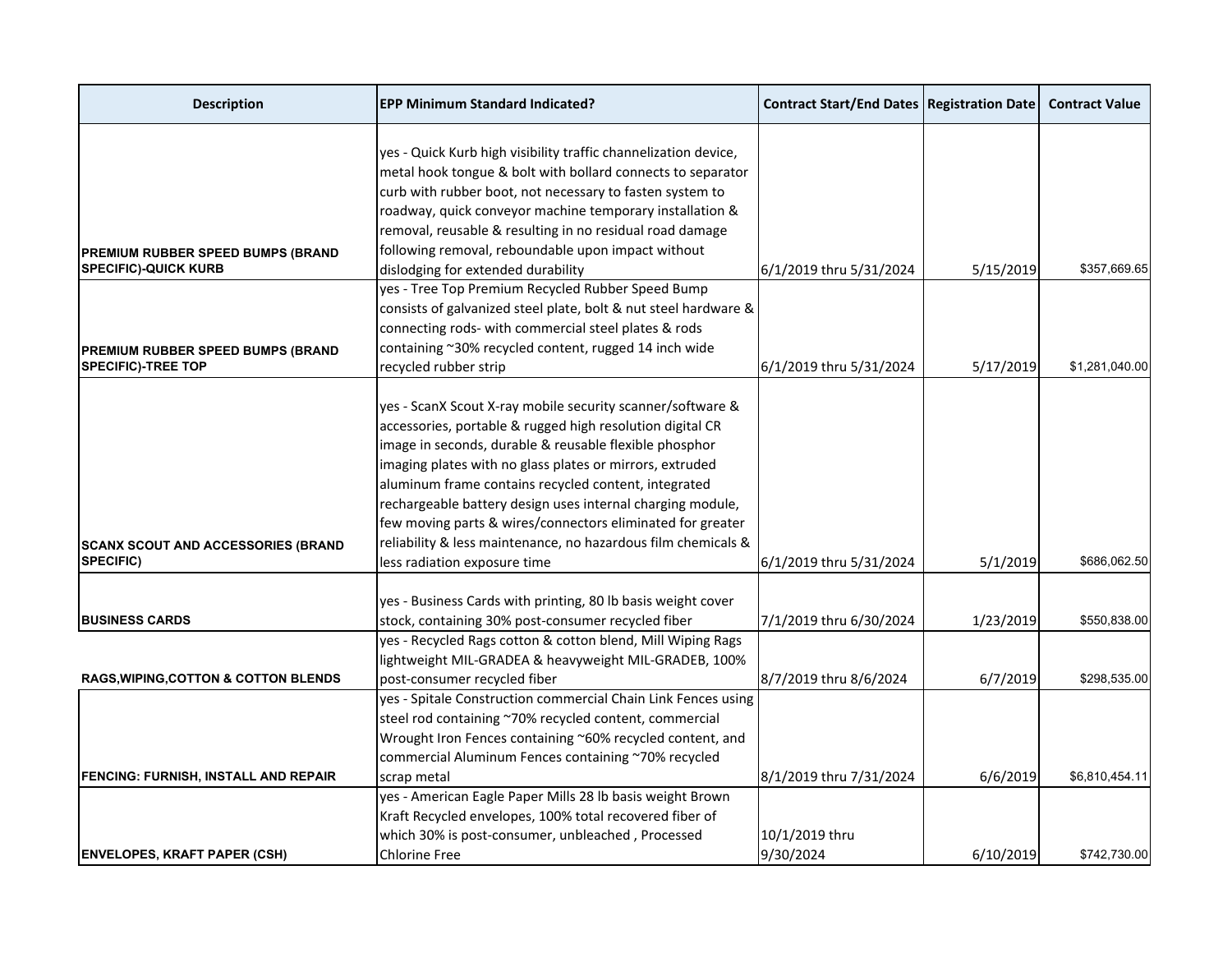| <b>Description</b>                                                      | <b>EPP Minimum Standard Indicated?</b>                                                                                                                                                     | <b>Contract Start/End Dates   Registration Date  </b> |           | <b>Contract Value</b> |
|-------------------------------------------------------------------------|--------------------------------------------------------------------------------------------------------------------------------------------------------------------------------------------|-------------------------------------------------------|-----------|-----------------------|
|                                                                         | yes - Quick Kurb high visibility traffic channelization device,<br>metal hook tongue & bolt with bollard connects to separator<br>curb with rubber boot, not necessary to fasten system to |                                                       |           |                       |
|                                                                         | roadway, quick conveyor machine temporary installation &                                                                                                                                   |                                                       |           |                       |
|                                                                         | removal, reusable & resulting in no residual road damage<br>following removal, reboundable upon impact without                                                                             |                                                       |           |                       |
| <b>PREMIUM RUBBER SPEED BUMPS (BRAND</b><br><b>SPECIFIC)-QUICK KURB</b> | dislodging for extended durability                                                                                                                                                         | 6/1/2019 thru 5/31/2024                               | 5/15/2019 | \$357,669.65          |
|                                                                         | yes - Tree Top Premium Recycled Rubber Speed Bump<br>consists of galvanized steel plate, bolt & nut steel hardware &                                                                       |                                                       |           |                       |
|                                                                         | connecting rods- with commercial steel plates & rods                                                                                                                                       |                                                       |           |                       |
| <b>PREMIUM RUBBER SPEED BUMPS (BRAND</b>                                | containing ~30% recycled content, rugged 14 inch wide                                                                                                                                      |                                                       |           |                       |
| <b>SPECIFIC)-TREE TOP</b>                                               | recycled rubber strip                                                                                                                                                                      | 6/1/2019 thru 5/31/2024                               | 5/17/2019 | \$1,281,040.00        |
|                                                                         |                                                                                                                                                                                            |                                                       |           |                       |
|                                                                         | yes - ScanX Scout X-ray mobile security scanner/software &<br>accessories, portable & rugged high resolution digital CR                                                                    |                                                       |           |                       |
|                                                                         | image in seconds, durable & reusable flexible phosphor                                                                                                                                     |                                                       |           |                       |
|                                                                         | imaging plates with no glass plates or mirrors, extruded                                                                                                                                   |                                                       |           |                       |
|                                                                         | aluminum frame contains recycled content, integrated                                                                                                                                       |                                                       |           |                       |
|                                                                         | rechargeable battery design uses internal charging module,                                                                                                                                 |                                                       |           |                       |
|                                                                         | few moving parts & wires/connectors eliminated for greater                                                                                                                                 |                                                       |           |                       |
| <b>SCANX SCOUT AND ACCESSORIES (BRAND</b>                               | reliability & less maintenance, no hazardous film chemicals &                                                                                                                              |                                                       |           |                       |
| <b>SPECIFIC)</b>                                                        | less radiation exposure time                                                                                                                                                               | 6/1/2019 thru 5/31/2024                               | 5/1/2019  | \$686,062.50          |
|                                                                         |                                                                                                                                                                                            |                                                       |           |                       |
|                                                                         | yes - Business Cards with printing, 80 lb basis weight cover                                                                                                                               |                                                       |           |                       |
| <b>BUSINESS CARDS</b>                                                   | stock, containing 30% post-consumer recycled fiber                                                                                                                                         | 7/1/2019 thru 6/30/2024                               | 1/23/2019 | \$550,838.00          |
|                                                                         | yes - Recycled Rags cotton & cotton blend, Mill Wiping Rags                                                                                                                                |                                                       |           |                       |
|                                                                         | lightweight MIL-GRADEA & heavyweight MIL-GRADEB, 100%                                                                                                                                      |                                                       |           |                       |
| <b>RAGS, WIPING, COTTON &amp; COTTON BLENDS</b>                         | post-consumer recycled fiber                                                                                                                                                               | 8/7/2019 thru 8/6/2024                                | 6/7/2019  | \$298,535.00          |
|                                                                         | yes - Spitale Construction commercial Chain Link Fences using<br>steel rod containing ~70% recycled content, commercial                                                                    |                                                       |           |                       |
|                                                                         | Wrought Iron Fences containing ~60% recycled content, and                                                                                                                                  |                                                       |           |                       |
|                                                                         | commercial Aluminum Fences containing ~70% recycled                                                                                                                                        |                                                       |           |                       |
| <b>FENCING: FURNISH, INSTALL AND REPAIR</b>                             | scrap metal                                                                                                                                                                                | 8/1/2019 thru 7/31/2024                               | 6/6/2019  | \$6,810,454.11        |
|                                                                         | yes - American Eagle Paper Mills 28 lb basis weight Brown                                                                                                                                  |                                                       |           |                       |
|                                                                         | Kraft Recycled envelopes, 100% total recovered fiber of                                                                                                                                    |                                                       |           |                       |
|                                                                         | which 30% is post-consumer, unbleached, Processed                                                                                                                                          | 10/1/2019 thru                                        |           |                       |
| <b>ENVELOPES, KRAFT PAPER (CSH)</b>                                     | <b>Chlorine Free</b>                                                                                                                                                                       | 9/30/2024                                             | 6/10/2019 | \$742,730.00          |